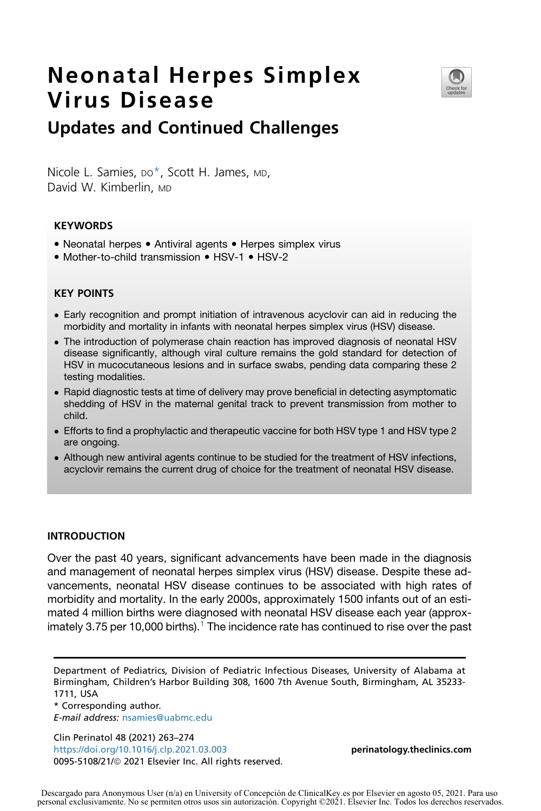# Neonatal Herpes Simplex Virus Disease



# Updates and Continued Challenges

Nicole L. Samies, Do\*, Scott H. James, MD, David W. Kimberlin, MD

#### **KEYWORDS**

- Neonatal herpes Antiviral agents Herpes simplex virus
- Mother-to-child transmission HSV-1 HSV-2

#### KEY POINTS

- Early recognition and prompt initiation of intravenous acyclovir can aid in reducing the morbidity and mortality in infants with neonatal herpes simplex virus (HSV) disease.
- The introduction of polymerase chain reaction has improved diagnosis of neonatal HSV disease significantly, although viral culture remains the gold standard for detection of HSV in mucocutaneous lesions and in surface swabs, pending data comparing these 2 testing modalities.
- Rapid diagnostic tests at time of delivery may prove beneficial in detecting asymptomatic shedding of HSV in the maternal genital track to prevent transmission from mother to child.
- Efforts to find a prophylactic and therapeutic vaccine for both HSV type 1 and HSV type 2 are ongoing.
- Although new antiviral agents continue to be studied for the treatment of HSV infections, acyclovir remains the current drug of choice for the treatment of neonatal HSV disease.

#### INTRODUCTION

Over the past 40 years, significant advancements have been made in the diagnosis and management of neonatal herpes simplex virus (HSV) disease. Despite these advancements, neonatal HSV disease continues to be associated with high rates of morbidity and mortality. In the early 2000s, approximately 1500 infants out of an estimated 4 million births were diagnosed with neonatal HSV disease each year (approx-imately 3.75 per [1](#page-8-0)0,000 births).<sup>1</sup> The incidence rate has continued to rise over the past

Department of Pediatrics, Division of Pediatric Infectious Diseases, University of Alabama at Birmingham, Children's Harbor Building 308, 1600 7th Avenue South, Birmingham, AL 35233- 1711, USA

<span id="page-0-0"></span>\* Corresponding author. E-mail address: [nsamies@uabmc.edu](mailto:nsamies@uabmc.edu)

Clin Perinatol 48 (2021) 263–274 <https://doi.org/10.1016/j.clp.2021.03.003> **[perinatology.theclinics.com](http://perinatology.theclinics.com)** 0095-5108/21/@ 2021 Elsevier Inc. All rights reserved.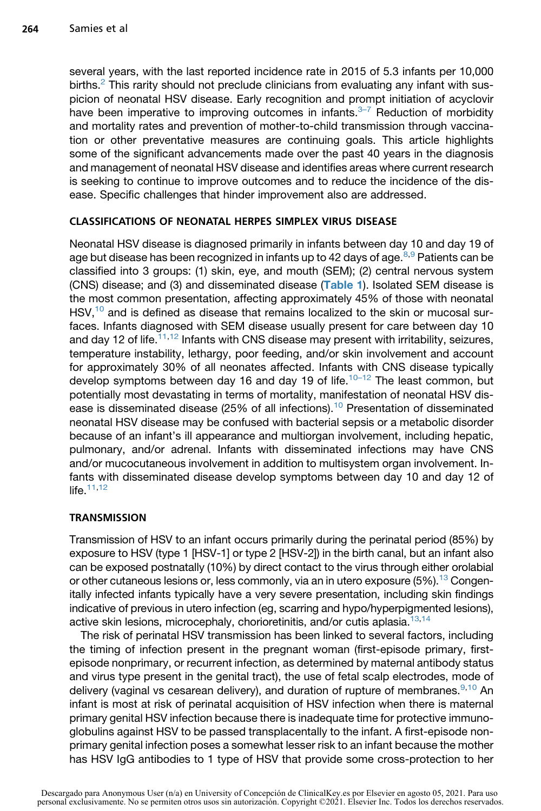several years, with the last reported incidence rate in 2015 of 5.3 infants per 10,000 births. $<sup>2</sup>$  This rarity should not preclude clinicians from evaluating any infant with sus-</sup> picion of neonatal HSV disease. Early recognition and prompt initiation of acyclovir have been imperative to improving outcomes in infants. $3-7$  Reduction of morbidity and mortality rates and prevention of mother-to-child transmission through vaccination or other preventative measures are continuing goals. This article highlights some of the significant advancements made over the past 40 years in the diagnosis and management of neonatal HSV disease and identifies areas where current research is seeking to continue to improve outcomes and to reduce the incidence of the disease. Specific challenges that hinder improvement also are addressed.

### CLASSIFICATIONS OF NEONATAL HERPES SIMPLEX VIRUS DISEASE

Neonatal HSV disease is diagnosed primarily in infants between day 10 and day 19 of age but disease has been recognized in infants up to 42 days of age.<sup>[8,](#page-9-2)[9](#page-9-3)</sup> Patients can be classified into 3 groups: (1) skin, eye, and mouth (SEM); (2) central nervous system (CNS) disease; and (3) and disseminated disease ([Table 1](#page-2-0)). Isolated SEM disease is the most common presentation, affecting approximately 45% of those with neonatal HSV, $10$  and is defined as disease that remains localized to the skin or mucosal surfaces. Infants diagnosed with SEM disease usually present for care between day 10 and day 12 of life.<sup>[11](#page-9-5)[,12](#page-9-6)</sup> Infants with CNS disease may present with irritability, seizures, temperature instability, lethargy, poor feeding, and/or skin involvement and account for approximately 30% of all neonates affected. Infants with CNS disease typically develop symptoms between day 16 and day 19 of life.<sup>10-12</sup> The least common, but potentially most devastating in terms of mortality, manifestation of neonatal HSV dis-ease is disseminated disease (25% of all infections).<sup>[10](#page-9-4)</sup> Presentation of disseminated neonatal HSV disease may be confused with bacterial sepsis or a metabolic disorder because of an infant's ill appearance and multiorgan involvement, including hepatic, pulmonary, and/or adrenal. Infants with disseminated infections may have CNS and/or mucocutaneous involvement in addition to multisystem organ involvement. Infants with disseminated disease develop symptoms between day 10 and day 12 of life.<sup>[11,](#page-9-5)[12](#page-9-6)</sup>

# **TRANSMISSION**

Transmission of HSV to an infant occurs primarily during the perinatal period (85%) by exposure to HSV (type 1 [HSV-1] or type 2 [HSV-2]) in the birth canal, but an infant also can be exposed postnatally (10%) by direct contact to the virus through either orolabial or other cutaneous lesions or, less commonly, via an in utero exposure (5%).<sup>13</sup> Congenitally infected infants typically have a very severe presentation, including skin findings indicative of previous in utero infection (eg, scarring and hypo/hyperpigmented lesions), active skin lesions, microcephaly, chorioretinitis, and/or cutis aplasia.<sup>13[,14](#page-9-8)</sup>

The risk of perinatal HSV transmission has been linked to several factors, including the timing of infection present in the pregnant woman (first-episode primary, firstepisode nonprimary, or recurrent infection, as determined by maternal antibody status and virus type present in the genital tract), the use of fetal scalp electrodes, mode of delivery (vaginal vs cesarean delivery), and duration of rupture of membranes.<sup>[9](#page-9-3)[,10](#page-9-4)</sup> An infant is most at risk of perinatal acquisition of HSV infection when there is maternal primary genital HSV infection because there is inadequate time for protective immunoglobulins against HSV to be passed transplacentally to the infant. A first-episode nonprimary genital infection poses a somewhat lesser risk to an infant because the mother has HSV IgG antibodies to 1 type of HSV that provide some cross-protection to her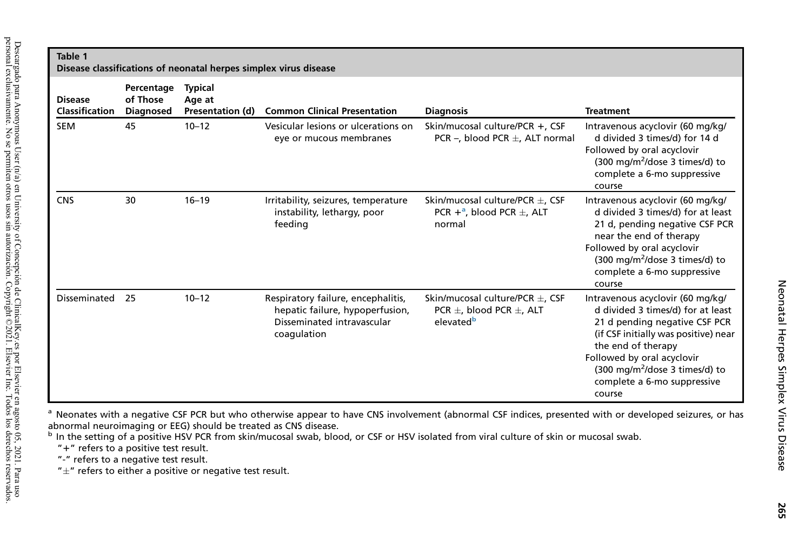<span id="page-2-0"></span>

| Table 1<br>Disease classifications of neonatal herpes simplex virus disease |                                            |                                              |                                                                                                                    |                                                                                                    |                                                                                                                                                                                                                                                                                                         |
|-----------------------------------------------------------------------------|--------------------------------------------|----------------------------------------------|--------------------------------------------------------------------------------------------------------------------|----------------------------------------------------------------------------------------------------|---------------------------------------------------------------------------------------------------------------------------------------------------------------------------------------------------------------------------------------------------------------------------------------------------------|
| <b>Disease</b><br><b>Classification</b>                                     | Percentage<br>of Those<br><b>Diagnosed</b> | <b>Typical</b><br>Age at<br>Presentation (d) | <b>Common Clinical Presentation</b>                                                                                | <b>Diagnosis</b>                                                                                   | <b>Treatment</b>                                                                                                                                                                                                                                                                                        |
| <b>SEM</b>                                                                  | 45                                         | $10 - 12$                                    | Vesicular lesions or ulcerations on<br>eye or mucous membranes                                                     | Skin/mucosal culture/PCR +, CSF<br>PCR –, blood PCR $\pm$ , ALT normal                             | Intravenous acyclovir (60 mg/kg/<br>d divided 3 times/d) for 14 d<br>Followed by oral acyclovir<br>$(300 \text{ mg/m}^2/\text{dose } 3 \text{ times/d})$ to<br>complete a 6-mo suppressive<br>course                                                                                                    |
| <b>CNS</b>                                                                  | 30                                         | $16 - 19$                                    | Irritability, seizures, temperature<br>instability, lethargy, poor<br>feeding                                      | Skin/mucosal culture/PCR ±, CSF<br>PCR $+^a$ , blood PCR $\pm$ , ALT<br>normal                     | Intravenous acyclovir (60 mg/kg/<br>d divided 3 times/d) for at least<br>21 d, pending negative CSF PCR<br>near the end of therapy<br>Followed by oral acyclovir<br>(300 mg/m <sup>2</sup> /dose 3 times/d) to<br>complete a 6-mo suppressive<br>course                                                 |
| Disseminated                                                                | 25                                         | $10 - 12$                                    | Respiratory failure, encephalitis,<br>hepatic failure, hypoperfusion,<br>Disseminated intravascular<br>coagulation | Skin/mucosal culture/PCR $\pm$ , CSF<br>PCR $\pm$ , blood PCR $\pm$ , ALT<br>elevated <sup>b</sup> | Intravenous acyclovir (60 mg/kg/<br>d divided 3 times/d) for at least<br>21 d pending negative CSF PCR<br>(if CSF initially was positive) near<br>the end of therapy<br>Followed by oral acyclovir<br>$(300 \text{ mg/m}^2/\text{dose } 3 \text{ times/d})$ to<br>complete a 6-mo suppressive<br>course |

<sup>a</sup> Neonates with a negative CSF PCR but who otherwise appear to have CNS involvement (abnormal CSF indices, presented with or developed seizures, or has abnormal neuroimaging or EEG) should be treated as CNS disease.

<sup>b</sup> In the setting of a positive HSV PCR from skin/mucosal swab, blood, or CSF or HSV isolated from viral culture of skin or mucosal swab.

 $"$ +" refers to a positive test result.

"-" refers to <sup>a</sup> negative test result.

" $\pm$ " refers to either a positive or negative test result.

Neonatal Herpes Simplex Virus Disease

<span id="page-2-2"></span><span id="page-2-1"></span>Neonatal Herpes Simplex Virus Disease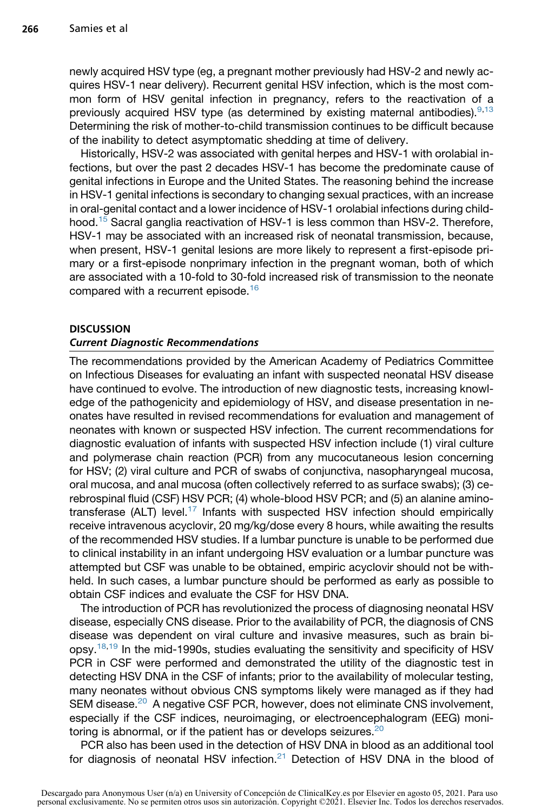newly acquired HSV type (eg, a pregnant mother previously had HSV-2 and newly acquires HSV-1 near delivery). Recurrent genital HSV infection, which is the most common form of HSV genital infection in pregnancy, refers to the reactivation of a previously acquired HSV type (as determined by existing maternal antibodies).<sup>[9,](#page-9-3)[13](#page-9-7)</sup> Determining the risk of mother-to-child transmission continues to be difficult because of the inability to detect asymptomatic shedding at time of delivery.

Historically, HSV-2 was associated with genital herpes and HSV-1 with orolabial infections, but over the past 2 decades HSV-1 has become the predominate cause of genital infections in Europe and the United States. The reasoning behind the increase in HSV-1 genital infections is secondary to changing sexual practices, with an increase in oral-genital contact and a lower incidence of HSV-1 orolabial infections during child-hood.<sup>[15](#page-9-9)</sup> Sacral ganglia reactivation of HSV-1 is less common than HSV-2. Therefore, HSV-1 may be associated with an increased risk of neonatal transmission, because, when present, HSV-1 genital lesions are more likely to represent a first-episode primary or a first-episode nonprimary infection in the pregnant woman, both of which are associated with a 10-fold to 30-fold increased risk of transmission to the neonate compared with a recurrent episode.<sup>[16](#page-9-10)</sup>

#### DISCUSSION

#### Current Diagnostic Recommendations

The recommendations provided by the American Academy of Pediatrics Committee on Infectious Diseases for evaluating an infant with suspected neonatal HSV disease have continued to evolve. The introduction of new diagnostic tests, increasing knowledge of the pathogenicity and epidemiology of HSV, and disease presentation in neonates have resulted in revised recommendations for evaluation and management of neonates with known or suspected HSV infection. The current recommendations for diagnostic evaluation of infants with suspected HSV infection include (1) viral culture and polymerase chain reaction (PCR) from any mucocutaneous lesion concerning for HSV; (2) viral culture and PCR of swabs of conjunctiva, nasopharyngeal mucosa, oral mucosa, and anal mucosa (often collectively referred to as surface swabs); (3) cerebrospinal fluid (CSF) HSV PCR; (4) whole-blood HSV PCR; and (5) an alanine amino-transferase (ALT) level.<sup>[17](#page-9-11)</sup> Infants with suspected HSV infection should empirically receive intravenous acyclovir, 20 mg/kg/dose every 8 hours, while awaiting the results of the recommended HSV studies. If a lumbar puncture is unable to be performed due to clinical instability in an infant undergoing HSV evaluation or a lumbar puncture was attempted but CSF was unable to be obtained, empiric acyclovir should not be withheld. In such cases, a lumbar puncture should be performed as early as possible to obtain CSF indices and evaluate the CSF for HSV DNA.

The introduction of PCR has revolutionized the process of diagnosing neonatal HSV disease, especially CNS disease. Prior to the availability of PCR, the diagnosis of CNS disease was dependent on viral culture and invasive measures, such as brain bi-opsy.<sup>[18,](#page-9-12)[19](#page-9-13)</sup> In the mid-1990s, studies evaluating the sensitivity and specificity of HSV PCR in CSF were performed and demonstrated the utility of the diagnostic test in detecting HSV DNA in the CSF of infants; prior to the availability of molecular testing, many neonates without obvious CNS symptoms likely were managed as if they had SEM disease.<sup>[20](#page-9-14)</sup> A negative CSF PCR, however, does not eliminate CNS involvement, especially if the CSF indices, neuroimaging, or electroencephalogram (EEG) moni-toring is abnormal, or if the patient has or develops seizures.<sup>[20](#page-9-14)</sup>

PCR also has been used in the detection of HSV DNA in blood as an additional tool for diagnosis of neonatal HSV infection. $21$  Detection of HSV DNA in the blood of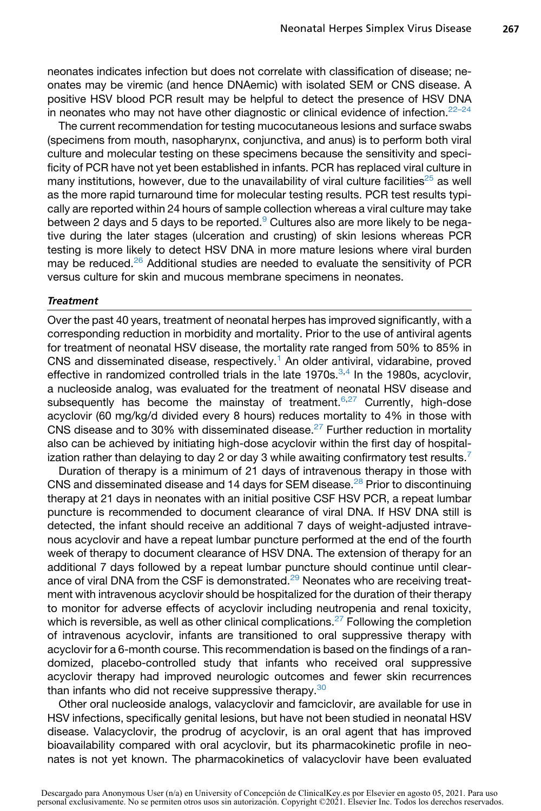neonates indicates infection but does not correlate with classification of disease; neonates may be viremic (and hence DNAemic) with isolated SEM or CNS disease. A positive HSV blood PCR result may be helpful to detect the presence of HSV DNA in neonates who may not have other diagnostic or clinical evidence of infection.<sup>22-24</sup>

The current recommendation for testing mucocutaneous lesions and surface swabs (specimens from mouth, nasopharynx, conjunctiva, and anus) is to perform both viral culture and molecular testing on these specimens because the sensitivity and specificity of PCR have not yet been established in infants. PCR has replaced viral culture in many institutions, however, due to the unavailability of viral culture facilities<sup>[25](#page-10-1)</sup> as well as the more rapid turnaround time for molecular testing results. PCR test results typically are reported within 24 hours of sample collection whereas a viral culture may take between 2 days and 5 days to be reported. $9$  Cultures also are more likely to be negative during the later stages (ulceration and crusting) of skin lesions whereas PCR testing is more likely to detect HSV DNA in more mature lesions where viral burden may be reduced.<sup>[26](#page-10-2)</sup> Additional studies are needed to evaluate the sensitivity of PCR versus culture for skin and mucous membrane specimens in neonates.

#### **Treatment**

Over the past 40 years, treatment of neonatal herpes has improved significantly, with a corresponding reduction in morbidity and mortality. Prior to the use of antiviral agents for treatment of neonatal HSV disease, the mortality rate ranged from 50% to 85% in  $C$ NS and disseminated disease, respectively.<sup>[1](#page-8-0)</sup> An older antiviral, vidarabine, proved effective in randomized controlled trials in the late 1970s. $3,4$  $3,4$  In the 1980s, acyclovir, a nucleoside analog, was evaluated for the treatment of neonatal HSV disease and subsequently has become the mainstay of treatment.  $6,27$  $6,27$  Currently, high-dose acyclovir (60 mg/kg/d divided every 8 hours) reduces mortality to 4% in those with CNS disease and to 30% with disseminated disease.<sup>[27](#page-10-3)</sup> Further reduction in mortality also can be achieved by initiating high-dose acyclovir within the first day of hospital-ization rather than delaying to day 2 or day 3 while awaiting confirmatory test results.<sup>[7](#page-9-18)</sup>

Duration of therapy is a minimum of 21 days of intravenous therapy in those with CNS and disseminated disease and 14 days for SEM disease.<sup>[28](#page-10-4)</sup> Prior to discontinuing therapy at 21 days in neonates with an initial positive CSF HSV PCR, a repeat lumbar puncture is recommended to document clearance of viral DNA. If HSV DNA still is detected, the infant should receive an additional 7 days of weight-adjusted intravenous acyclovir and have a repeat lumbar puncture performed at the end of the fourth week of therapy to document clearance of HSV DNA. The extension of therapy for an additional 7 days followed by a repeat lumbar puncture should continue until clearance of viral DNA from the CSF is demonstrated. $^{29}$  $^{29}$  $^{29}$  Neonates who are receiving treatment with intravenous acyclovir should be hospitalized for the duration of their therapy to monitor for adverse effects of acyclovir including neutropenia and renal toxicity, which is reversible, as well as other clinical complications. $27$  Following the completion of intravenous acyclovir, infants are transitioned to oral suppressive therapy with acyclovir for a 6-month course. This recommendation is based on the findings of a randomized, placebo-controlled study that infants who received oral suppressive acyclovir therapy had improved neurologic outcomes and fewer skin recurrences than infants who did not receive suppressive therapy.<sup>[30](#page-10-6)</sup>

Other oral nucleoside analogs, valacyclovir and famciclovir, are available for use in HSV infections, specifically genital lesions, but have not been studied in neonatal HSV disease. Valacyclovir, the prodrug of acyclovir, is an oral agent that has improved bioavailability compared with oral acyclovir, but its pharmacokinetic profile in neonates is not yet known. The pharmacokinetics of valacyclovir have been evaluated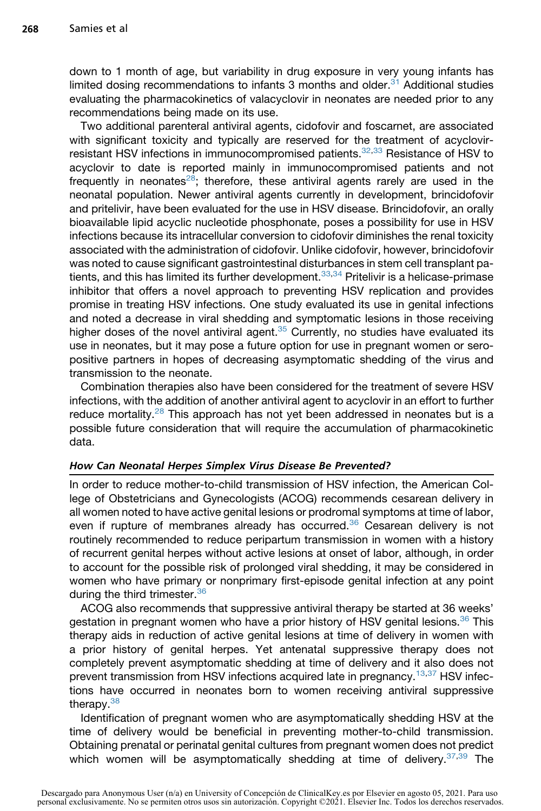down to 1 month of age, but variability in drug exposure in very young infants has limited dosing recommendations to infants 3 months and older. $31$  Additional studies evaluating the pharmacokinetics of valacyclovir in neonates are needed prior to any recommendations being made on its use.

Two additional parenteral antiviral agents, cidofovir and foscarnet, are associated with significant toxicity and typically are reserved for the treatment of acyclovir-resistant HSV infections in immunocompromised patients.<sup>[32](#page-10-8)[,33](#page-10-9)</sup> Resistance of HSV to acyclovir to date is reported mainly in immunocompromised patients and not frequently in neonates<sup>[28](#page-10-4)</sup>; therefore, these antiviral agents rarely are used in the neonatal population. Newer antiviral agents currently in development, brincidofovir and pritelivir, have been evaluated for the use in HSV disease. Brincidofovir, an orally bioavailable lipid acyclic nucleotide phosphonate, poses a possibility for use in HSV infections because its intracellular conversion to cidofovir diminishes the renal toxicity associated with the administration of cidofovir. Unlike cidofovir, however, brincidofovir was noted to cause significant gastrointestinal disturbances in stem cell transplant pa-tients, and this has limited its further development.<sup>[33](#page-10-9),[34](#page-10-10)</sup> Pritelivir is a helicase-primase inhibitor that offers a novel approach to preventing HSV replication and provides promise in treating HSV infections. One study evaluated its use in genital infections and noted a decrease in viral shedding and symptomatic lesions in those receiving higher doses of the novel antiviral agent. $35$  Currently, no studies have evaluated its use in neonates, but it may pose a future option for use in pregnant women or seropositive partners in hopes of decreasing asymptomatic shedding of the virus and transmission to the neonate.

Combination therapies also have been considered for the treatment of severe HSV infections, with the addition of another antiviral agent to acyclovir in an effort to further reduce mortality.<sup>[28](#page-10-4)</sup> This approach has not yet been addressed in neonates but is a possible future consideration that will require the accumulation of pharmacokinetic data.

#### How Can Neonatal Herpes Simplex Virus Disease Be Prevented?

In order to reduce mother-to-child transmission of HSV infection, the American College of Obstetricians and Gynecologists (ACOG) recommends cesarean delivery in all women noted to have active genital lesions or prodromal symptoms at time of labor, even if rupture of membranes already has occurred.<sup>[36](#page-10-12)</sup> Cesarean delivery is not routinely recommended to reduce peripartum transmission in women with a history of recurrent genital herpes without active lesions at onset of labor, although, in order to account for the possible risk of prolonged viral shedding, it may be considered in women who have primary or nonprimary first-episode genital infection at any point during the third trimester.<sup>[36](#page-10-12)</sup>

ACOG also recommends that suppressive antiviral therapy be started at 36 weeks' gestation in pregnant women who have a prior history of HSV genital lesions.<sup>[36](#page-10-12)</sup> This therapy aids in reduction of active genital lesions at time of delivery in women with a prior history of genital herpes. Yet antenatal suppressive therapy does not completely prevent asymptomatic shedding at time of delivery and it also does not prevent transmission from HSV infections acquired late in pregnancy.<sup>[13,](#page-9-7)[37](#page-10-13)</sup> HSV infections have occurred in neonates born to women receiving antiviral suppressive therapy.<sup>[38](#page-10-14)</sup>

Identification of pregnant women who are asymptomatically shedding HSV at the time of delivery would be beneficial in preventing mother-to-child transmission. Obtaining prenatal or perinatal genital cultures from pregnant women does not predict which women will be asymptomatically shedding at time of delivery.  $37,39$  $37,39$  $37,39$  The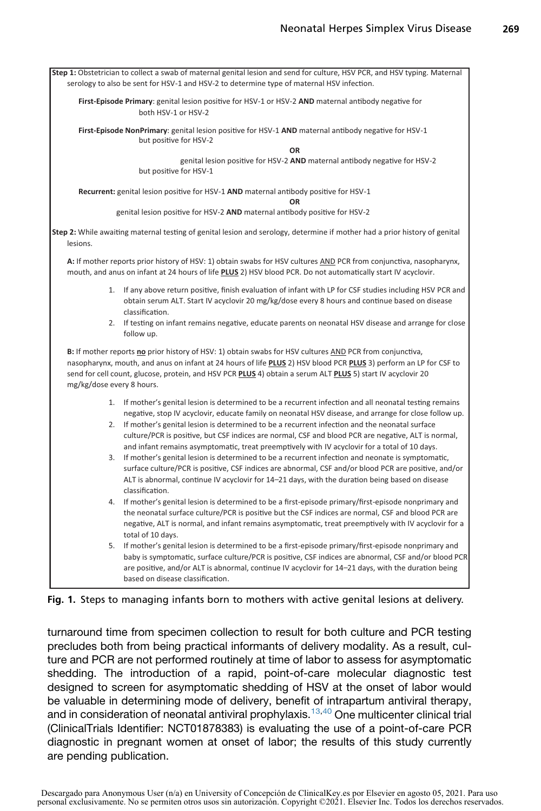<span id="page-6-0"></span>

| Step 1: Obstetrician to collect a swab of maternal genital lesion and send for culture, HSV PCR, and HSV typing. Maternal<br>serology to also be sent for HSV-1 and HSV-2 to determine type of maternal HSV infection.                                                                                                                                                                  |
|-----------------------------------------------------------------------------------------------------------------------------------------------------------------------------------------------------------------------------------------------------------------------------------------------------------------------------------------------------------------------------------------|
| First-Episode Primary: genital lesion positive for HSV-1 or HSV-2 AND maternal antibody negative for<br>both HSV-1 or HSV-2                                                                                                                                                                                                                                                             |
| First-Episode NonPrimary: genital lesion positive for HSV-1 AND maternal antibody negative for HSV-1<br>but positive for HSV-2                                                                                                                                                                                                                                                          |
| <b>OR</b>                                                                                                                                                                                                                                                                                                                                                                               |
| genital lesion positive for HSV-2 AND maternal antibody negative for HSV-2<br>but positive for HSV-1                                                                                                                                                                                                                                                                                    |
| Recurrent: genital lesion positive for HSV-1 AND maternal antibody positive for HSV-1<br>OR                                                                                                                                                                                                                                                                                             |
| genital lesion positive for HSV-2 AND maternal antibody positive for HSV-2                                                                                                                                                                                                                                                                                                              |
| Step 2: While awaiting maternal testing of genital lesion and serology, determine if mother had a prior history of genital<br>lesions.                                                                                                                                                                                                                                                  |
| A: If mother reports prior history of HSV: 1) obtain swabs for HSV cultures AND PCR from conjunctiva, nasopharynx,<br>mouth, and anus on infant at 24 hours of life PLUS 2) HSV blood PCR. Do not automatically start IV acyclovir.                                                                                                                                                     |
| 1. If any above return positive, finish evaluation of infant with LP for CSF studies including HSV PCR and<br>obtain serum ALT. Start IV acyclovir 20 mg/kg/dose every 8 hours and continue based on disease<br>classification.                                                                                                                                                         |
| 2. If testing on infant remains negative, educate parents on neonatal HSV disease and arrange for close<br>follow up.                                                                                                                                                                                                                                                                   |
| B: If mother reports no prior history of HSV: 1) obtain swabs for HSV cultures AND PCR from conjunctiva,<br>nasopharynx, mouth, and anus on infant at 24 hours of life <b>PLUS</b> 2) HSV blood PCR <b>PLUS</b> 3) perform an LP for CSF to<br>send for cell count, glucose, protein, and HSV PCR PLUS 4) obtain a serum ALT PLUS 5) start IV acyclovir 20<br>mg/kg/dose every 8 hours. |
| 1. If mother's genital lesion is determined to be a recurrent infection and all neonatal testing remains<br>negative, stop IV acyclovir, educate family on neonatal HSV disease, and arrange for close follow up.<br>2. If mother's genital lesion is determined to be a recurrent infection and the neonatal surface                                                                   |
| culture/PCR is positive, but CSF indices are normal, CSF and blood PCR are negative, ALT is normal,<br>and infant remains asymptomatic, treat preemptively with IV acyclovir for a total of 10 days.                                                                                                                                                                                    |
| 3. If mother's genital lesion is determined to be a recurrent infection and neonate is symptomatic,<br>surface culture/PCR is positive, CSF indices are abnormal, CSF and/or blood PCR are positive, and/or<br>ALT is abnormal, continue IV acyclovir for 14-21 days, with the duration being based on disease<br>classification.                                                       |
| 4. If mother's genital lesion is determined to be a first-episode primary/first-episode nonprimary and<br>the neonatal surface culture/PCR is positive but the CSF indices are normal, CSF and blood PCR are<br>negative, ALT is normal, and infant remains asymptomatic, treat preemptively with IV acyclovir for a<br>total of 10 days.                                               |
| 5. If mother's genital lesion is determined to be a first-episode primary/first-episode nonprimary and<br>baby is symptomatic, surface culture/PCR is positive, CSF indices are abnormal, CSF and/or blood PCR<br>are positive, and/or ALT is abnormal, continue IV acyclovir for 14-21 days, with the duration being<br>based on disease classification.                               |

Fig. 1. Steps to managing infants born to mothers with active genital lesions at delivery.

turnaround time from specimen collection to result for both culture and PCR testing precludes both from being practical informants of delivery modality. As a result, culture and PCR are not performed routinely at time of labor to assess for asymptomatic shedding. The introduction of a rapid, point-of-care molecular diagnostic test designed to screen for asymptomatic shedding of HSV at the onset of labor would be valuable in determining mode of delivery, benefit of intrapartum antiviral therapy, and in consideration of neonatal antiviral prophylaxis.<sup>[13,](#page-9-7)[40](#page-10-16)</sup> One multicenter clinical trial (ClinicalTrials Identifier: NCT01878383) is evaluating the use of a point-of-care PCR diagnostic in pregnant women at onset of labor; the results of this study currently are pending publication.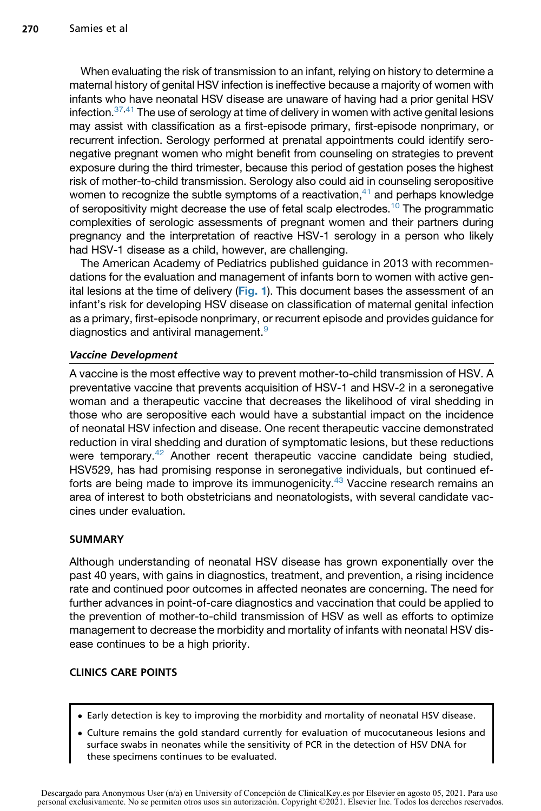When evaluating the risk of transmission to an infant, relying on history to determine a maternal history of genital HSV infection is ineffective because a majority of women with infants who have neonatal HSV disease are unaware of having had a prior genital HSV infection. $37,41$  $37,41$  The use of serology at time of delivery in women with active genital lesions may assist with classification as a first-episode primary, first-episode nonprimary, or recurrent infection. Serology performed at prenatal appointments could identify seronegative pregnant women who might benefit from counseling on strategies to prevent exposure during the third trimester, because this period of gestation poses the highest risk of mother-to-child transmission. Serology also could aid in counseling seropositive women to recognize the subtle symptoms of a reactivation, $41$  and perhaps knowledge of seropositivity might decrease the use of fetal scalp electrodes.<sup>[10](#page-9-4)</sup> The programmatic complexities of serologic assessments of pregnant women and their partners during pregnancy and the interpretation of reactive HSV-1 serology in a person who likely had HSV-1 disease as a child, however, are challenging.

The American Academy of Pediatrics published guidance in 2013 with recommendations for the evaluation and management of infants born to women with active gen-ital lesions at the time of delivery ([Fig. 1](#page-6-0)). This document bases the assessment of an infant's risk for developing HSV disease on classification of maternal genital infection as a primary, first-episode nonprimary, or recurrent episode and provides guidance for diagnostics and antiviral management.<sup>[9](#page-9-3)</sup>

# Vaccine Development

A vaccine is the most effective way to prevent mother-to-child transmission of HSV. A preventative vaccine that prevents acquisition of HSV-1 and HSV-2 in a seronegative woman and a therapeutic vaccine that decreases the likelihood of viral shedding in those who are seropositive each would have a substantial impact on the incidence of neonatal HSV infection and disease. One recent therapeutic vaccine demonstrated reduction in viral shedding and duration of symptomatic lesions, but these reductions were temporary.<sup>[42](#page-11-1)</sup> Another recent therapeutic vaccine candidate being studied, HSV529, has had promising response in seronegative individuals, but continued ef-forts are being made to improve its immunogenicity.<sup>[43](#page-11-2)</sup> Vaccine research remains an area of interest to both obstetricians and neonatologists, with several candidate vaccines under evaluation.

# SUMMARY

Although understanding of neonatal HSV disease has grown exponentially over the past 40 years, with gains in diagnostics, treatment, and prevention, a rising incidence rate and continued poor outcomes in affected neonates are concerning. The need for further advances in point-of-care diagnostics and vaccination that could be applied to the prevention of mother-to-child transmission of HSV as well as efforts to optimize management to decrease the morbidity and mortality of infants with neonatal HSV disease continues to be a high priority.

# CLINICS CARE POINTS

- Early detection is key to improving the morbidity and mortality of neonatal HSV disease.
- Culture remains the gold standard currently for evaluation of mucocutaneous lesions and surface swabs in neonates while the sensitivity of PCR in the detection of HSV DNA for these specimens continues to be evaluated.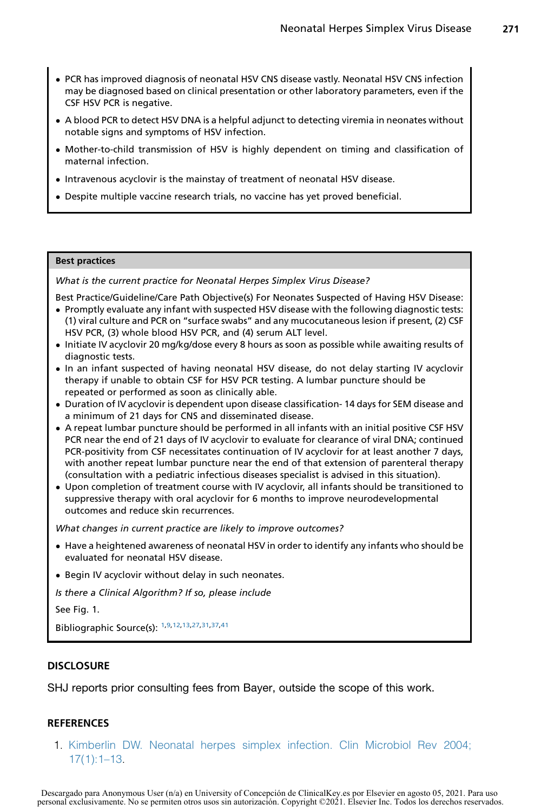- PCR has improved diagnosis of neonatal HSV CNS disease vastly. Neonatal HSV CNS infection may be diagnosed based on clinical presentation or other laboratory parameters, even if the CSF HSV PCR is negative.
- A blood PCR to detect HSV DNA is a helpful adjunct to detecting viremia in neonates without notable signs and symptoms of HSV infection.
- Mother-to-child transmission of HSV is highly dependent on timing and classification of maternal infection.
- Intravenous acyclovir is the mainstay of treatment of neonatal HSV disease.
- Despite multiple vaccine research trials, no vaccine has yet proved beneficial.

#### Best practices

What is the current practice for Neonatal Herpes Simplex Virus Disease?

Best Practice/Guideline/Care Path Objective(s) For Neonates Suspected of Having HSV Disease:

- Promptly evaluate any infant with suspected HSV disease with the following diagnostic tests: (1) viral culture and PCR on "surface swabs" and any mucocutaneous lesion if present, (2) CSF HSV PCR, (3) whole blood HSV PCR, and (4) serum ALT level.
- Initiate IV acyclovir 20 mg/kg/dose every 8 hours as soon as possible while awaiting results of diagnostic tests.
- In an infant suspected of having neonatal HSV disease, do not delay starting IV acyclovir therapy if unable to obtain CSF for HSV PCR testing. A lumbar puncture should be repeated or performed as soon as clinically able.
- Duration of IV acyclovir is dependent upon disease classification- 14 days for SEM disease and a minimum of 21 days for CNS and disseminated disease.
- A repeat lumbar puncture should be performed in all infants with an initial positive CSF HSV PCR near the end of 21 days of IV acyclovir to evaluate for clearance of viral DNA; continued PCR-positivity from CSF necessitates continuation of IV acyclovir for at least another 7 days, with another repeat lumbar puncture near the end of that extension of parenteral therapy (consultation with a pediatric infectious diseases specialist is advised in this situation).
- Upon completion of treatment course with IV acyclovir, all infants should be transitioned to suppressive therapy with oral acyclovir for 6 months to improve neurodevelopmental outcomes and reduce skin recurrences.

What changes in current practice are likely to improve outcomes?

- Have a heightened awareness of neonatal HSV in order to identify any infants who should be evaluated for neonatal HSV disease.
- Begin IV acyclovir without delay in such neonates.

Is there a Clinical Algorithm? If so, please include

See Fig. 1.

Bibliographic Source(s): <sup>[1,](#page-8-0)[9](#page-9-3),[12](#page-9-6)[,13,](#page-9-7)[27](#page-10-3),[31](#page-10-7),[37](#page-10-13)[,41](#page-11-0)</sup>

#### **DISCLOSURE**

SHJ reports prior consulting fees from Bayer, outside the scope of this work.

#### <span id="page-8-0"></span>**REFERENCES**

1. [Kimberlin DW. Neonatal herpes simplex infection. Clin Microbiol Rev 2004;](http://refhub.elsevier.com/S0095-5108(21)00016-6/sref1)  $17(1):1-13$ .

Descargado para Anonymous User (n/a) en University of Concepción de ClinicalKey.es por Elsevier en agosto 05, 2021. Para uso personal exclusivamente. No se permiten otros usos sin autorización. Copyright ©2021. Elsevier Inc. Todos los derechos reservados.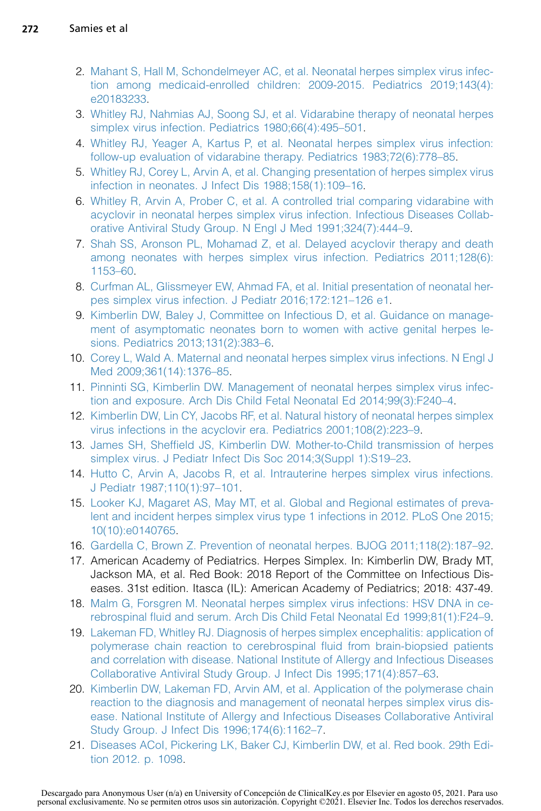- <span id="page-9-0"></span>2. [Mahant S, Hall M, Schondelmeyer AC, et al. Neonatal herpes simplex virus infec](http://refhub.elsevier.com/S0095-5108(21)00016-6/sref2)[tion among medicaid-enrolled children: 2009-2015. Pediatrics 2019;143\(4\):](http://refhub.elsevier.com/S0095-5108(21)00016-6/sref2) [e20183233.](http://refhub.elsevier.com/S0095-5108(21)00016-6/sref2)
- <span id="page-9-1"></span>3. [Whitley RJ, Nahmias AJ, Soong SJ, et al. Vidarabine therapy of neonatal herpes](http://refhub.elsevier.com/S0095-5108(21)00016-6/sref3) [simplex virus infection. Pediatrics 1980;66\(4\):495–501.](http://refhub.elsevier.com/S0095-5108(21)00016-6/sref3)
- <span id="page-9-16"></span>4. [Whitley RJ, Yeager A, Kartus P, et al. Neonatal herpes simplex virus infection:](http://refhub.elsevier.com/S0095-5108(21)00016-6/sref4) [follow-up evaluation of vidarabine therapy. Pediatrics 1983;72\(6\):778–85.](http://refhub.elsevier.com/S0095-5108(21)00016-6/sref4)
- 5. [Whitley RJ, Corey L, Arvin A, et al. Changing presentation of herpes simplex virus](http://refhub.elsevier.com/S0095-5108(21)00016-6/sref5) [infection in neonates. J Infect Dis 1988;158\(1\):109–16.](http://refhub.elsevier.com/S0095-5108(21)00016-6/sref5)
- <span id="page-9-17"></span>6. [Whitley R, Arvin A, Prober C, et al. A controlled trial comparing vidarabine with](http://refhub.elsevier.com/S0095-5108(21)00016-6/sref6) [acyclovir in neonatal herpes simplex virus infection. Infectious Diseases Collab](http://refhub.elsevier.com/S0095-5108(21)00016-6/sref6)[orative Antiviral Study Group. N Engl J Med 1991;324\(7\):444–9](http://refhub.elsevier.com/S0095-5108(21)00016-6/sref6).
- <span id="page-9-18"></span>7. [Shah SS, Aronson PL, Mohamad Z, et al. Delayed acyclovir therapy and death](http://refhub.elsevier.com/S0095-5108(21)00016-6/sref7) [among neonates with herpes simplex virus infection. Pediatrics 2011;128\(6\):](http://refhub.elsevier.com/S0095-5108(21)00016-6/sref7) [1153–60.](http://refhub.elsevier.com/S0095-5108(21)00016-6/sref7)
- <span id="page-9-2"></span>8. [Curfman AL, Glissmeyer EW, Ahmad FA, et al. Initial presentation of neonatal her](http://refhub.elsevier.com/S0095-5108(21)00016-6/sref8)[pes simplex virus infection. J Pediatr 2016;172:121–126 e1.](http://refhub.elsevier.com/S0095-5108(21)00016-6/sref8)
- <span id="page-9-3"></span>9. [Kimberlin DW, Baley J, Committee on Infectious D, et al. Guidance on manage](http://refhub.elsevier.com/S0095-5108(21)00016-6/sref9)[ment of asymptomatic neonates born to women with active genital herpes le](http://refhub.elsevier.com/S0095-5108(21)00016-6/sref9)[sions. Pediatrics 2013;131\(2\):383–6](http://refhub.elsevier.com/S0095-5108(21)00016-6/sref9).
- <span id="page-9-5"></span><span id="page-9-4"></span>10. [Corey L, Wald A. Maternal and neonatal herpes simplex virus infections. N Engl J](http://refhub.elsevier.com/S0095-5108(21)00016-6/sref10) Med 2009;361(14):1376-85.
- <span id="page-9-6"></span>11. [Pinninti SG, Kimberlin DW. Management of neonatal herpes simplex virus infec](http://refhub.elsevier.com/S0095-5108(21)00016-6/sref11)[tion and exposure. Arch Dis Child Fetal Neonatal Ed 2014;99\(3\):F240–4](http://refhub.elsevier.com/S0095-5108(21)00016-6/sref11).
- <span id="page-9-7"></span>12. [Kimberlin DW, Lin CY, Jacobs RF, et al. Natural history of neonatal herpes simplex](http://refhub.elsevier.com/S0095-5108(21)00016-6/sref12) [virus infections in the acyclovir era. Pediatrics 2001;108\(2\):223–9](http://refhub.elsevier.com/S0095-5108(21)00016-6/sref12).
- <span id="page-9-8"></span>13. [James SH, Sheffield JS, Kimberlin DW. Mother-to-Child transmission of herpes](http://refhub.elsevier.com/S0095-5108(21)00016-6/sref13) [simplex virus. J Pediatr Infect Dis Soc 2014;3\(Suppl 1\):S19–23.](http://refhub.elsevier.com/S0095-5108(21)00016-6/sref13)
- <span id="page-9-9"></span>14. [Hutto C, Arvin A, Jacobs R, et al. Intrauterine herpes simplex virus infections.](http://refhub.elsevier.com/S0095-5108(21)00016-6/sref14) [J Pediatr 1987;110\(1\):97–101](http://refhub.elsevier.com/S0095-5108(21)00016-6/sref14).
- <span id="page-9-10"></span>15. [Looker KJ, Magaret AS, May MT, et al. Global and Regional estimates of preva](http://refhub.elsevier.com/S0095-5108(21)00016-6/sref15)[lent and incident herpes simplex virus type 1 infections in 2012. PLoS One 2015;](http://refhub.elsevier.com/S0095-5108(21)00016-6/sref15) [10\(10\):e0140765](http://refhub.elsevier.com/S0095-5108(21)00016-6/sref15).
- <span id="page-9-11"></span>16. [Gardella C, Brown Z. Prevention of neonatal herpes. BJOG 2011;118\(2\):187–92.](http://refhub.elsevier.com/S0095-5108(21)00016-6/sref16)
- <span id="page-9-12"></span>17. American Academy of Pediatrics. Herpes Simplex. In: Kimberlin DW, Brady MT, Jackson MA, et al. Red Book: 2018 Report of the Committee on Infectious Diseases. 31st edition. Itasca (IL): American Academy of Pediatrics; 2018: 437-49.
- <span id="page-9-13"></span>18. [Malm G, Forsgren M. Neonatal herpes simplex virus infections: HSV DNA in ce](http://refhub.elsevier.com/S0095-5108(21)00016-6/sref18)[rebrospinal fluid and serum. Arch Dis Child Fetal Neonatal Ed 1999;81\(1\):F24–9.](http://refhub.elsevier.com/S0095-5108(21)00016-6/sref18)
- <span id="page-9-14"></span>19. [Lakeman FD, Whitley RJ. Diagnosis of herpes simplex encephalitis: application of](http://refhub.elsevier.com/S0095-5108(21)00016-6/sref19) [polymerase chain reaction to cerebrospinal fluid from brain-biopsied patients](http://refhub.elsevier.com/S0095-5108(21)00016-6/sref19) [and correlation with disease. National Institute of Allergy and Infectious Diseases](http://refhub.elsevier.com/S0095-5108(21)00016-6/sref19) [Collaborative Antiviral Study Group. J Infect Dis 1995;171\(4\):857–63](http://refhub.elsevier.com/S0095-5108(21)00016-6/sref19).
- <span id="page-9-15"></span>20. [Kimberlin DW, Lakeman FD, Arvin AM, et al. Application of the polymerase chain](http://refhub.elsevier.com/S0095-5108(21)00016-6/sref20) [reaction to the diagnosis and management of neonatal herpes simplex virus dis](http://refhub.elsevier.com/S0095-5108(21)00016-6/sref20)[ease. National Institute of Allergy and Infectious Diseases Collaborative Antiviral](http://refhub.elsevier.com/S0095-5108(21)00016-6/sref20) [Study Group. J Infect Dis 1996;174\(6\):1162–7.](http://refhub.elsevier.com/S0095-5108(21)00016-6/sref20)
- 21. [Diseases ACoI, Pickering LK, Baker CJ, Kimberlin DW, et al. Red book. 29th Edi](http://refhub.elsevier.com/S0095-5108(21)00016-6/sref21)[tion 2012. p. 1098.](http://refhub.elsevier.com/S0095-5108(21)00016-6/sref21)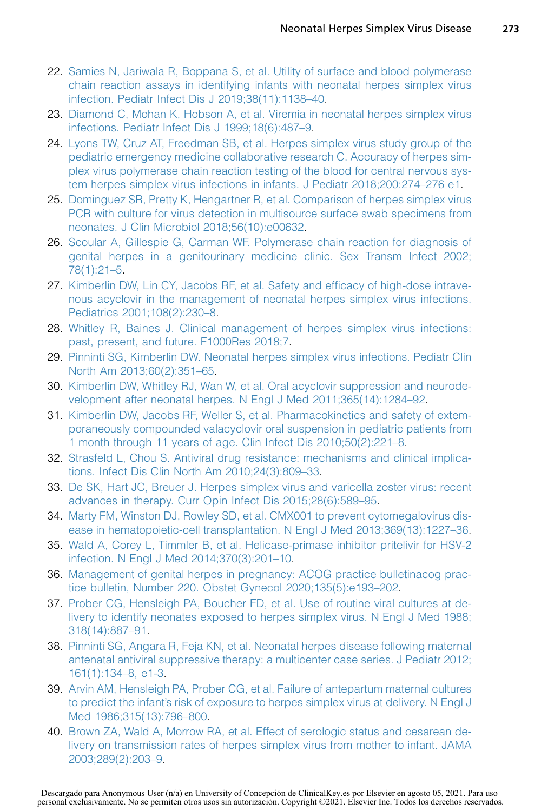- <span id="page-10-0"></span>22. [Samies N, Jariwala R, Boppana S, et al. Utility of surface and blood polymerase](http://refhub.elsevier.com/S0095-5108(21)00016-6/sref22) [chain reaction assays in identifying infants with neonatal herpes simplex virus](http://refhub.elsevier.com/S0095-5108(21)00016-6/sref22) [infection. Pediatr Infect Dis J 2019;38\(11\):1138–40.](http://refhub.elsevier.com/S0095-5108(21)00016-6/sref22)
- 23. [Diamond C, Mohan K, Hobson A, et al. Viremia in neonatal herpes simplex virus](http://refhub.elsevier.com/S0095-5108(21)00016-6/sref23) [infections. Pediatr Infect Dis J 1999;18\(6\):487–9.](http://refhub.elsevier.com/S0095-5108(21)00016-6/sref23)
- 24. [Lyons TW, Cruz AT, Freedman SB, et al. Herpes simplex virus study group of the](http://refhub.elsevier.com/S0095-5108(21)00016-6/sref24) [pediatric emergency medicine collaborative research C. Accuracy of herpes sim](http://refhub.elsevier.com/S0095-5108(21)00016-6/sref24)[plex virus polymerase chain reaction testing of the blood for central nervous sys](http://refhub.elsevier.com/S0095-5108(21)00016-6/sref24)[tem herpes simplex virus infections in infants. J Pediatr 2018;200:274–276 e1.](http://refhub.elsevier.com/S0095-5108(21)00016-6/sref24)
- <span id="page-10-1"></span>25. [Dominguez SR, Pretty K, Hengartner R, et al. Comparison of herpes simplex virus](http://refhub.elsevier.com/S0095-5108(21)00016-6/sref25) [PCR with culture for virus detection in multisource surface swab specimens from](http://refhub.elsevier.com/S0095-5108(21)00016-6/sref25) [neonates. J Clin Microbiol 2018;56\(10\):e00632.](http://refhub.elsevier.com/S0095-5108(21)00016-6/sref25)
- <span id="page-10-2"></span>26. [Scoular A, Gillespie G, Carman WF. Polymerase chain reaction for diagnosis of](http://refhub.elsevier.com/S0095-5108(21)00016-6/sref26) [genital herpes in a genitourinary medicine clinic. Sex Transm Infect 2002;](http://refhub.elsevier.com/S0095-5108(21)00016-6/sref26) [78\(1\):21–5](http://refhub.elsevier.com/S0095-5108(21)00016-6/sref26).
- <span id="page-10-3"></span>27. [Kimberlin DW, Lin CY, Jacobs RF, et al. Safety and efficacy of high-dose intrave](http://refhub.elsevier.com/S0095-5108(21)00016-6/sref27)[nous acyclovir in the management of neonatal herpes simplex virus infections.](http://refhub.elsevier.com/S0095-5108(21)00016-6/sref27) [Pediatrics 2001;108\(2\):230–8](http://refhub.elsevier.com/S0095-5108(21)00016-6/sref27).
- <span id="page-10-4"></span>28. [Whitley R, Baines J. Clinical management of herpes simplex virus infections:](http://refhub.elsevier.com/S0095-5108(21)00016-6/sref29) [past, present, and future. F1000Res 2018;7.](http://refhub.elsevier.com/S0095-5108(21)00016-6/sref29)
- <span id="page-10-6"></span><span id="page-10-5"></span>29. [Pinninti SG, Kimberlin DW. Neonatal herpes simplex virus infections. Pediatr Clin](http://refhub.elsevier.com/S0095-5108(21)00016-6/sref30) [North Am 2013;60\(2\):351–65](http://refhub.elsevier.com/S0095-5108(21)00016-6/sref30).
- <span id="page-10-7"></span>30. [Kimberlin DW, Whitley RJ, Wan W, et al. Oral acyclovir suppression and neurode](http://refhub.elsevier.com/S0095-5108(21)00016-6/sref31)[velopment after neonatal herpes. N Engl J Med 2011;365\(14\):1284–92](http://refhub.elsevier.com/S0095-5108(21)00016-6/sref31).
- 31. [Kimberlin DW, Jacobs RF, Weller S, et al. Pharmacokinetics and safety of extem](http://refhub.elsevier.com/S0095-5108(21)00016-6/sref32)[poraneously compounded valacyclovir oral suspension in pediatric patients from](http://refhub.elsevier.com/S0095-5108(21)00016-6/sref32) [1 month through 11 years of age. Clin Infect Dis 2010;50\(2\):221–8.](http://refhub.elsevier.com/S0095-5108(21)00016-6/sref32)
- <span id="page-10-9"></span><span id="page-10-8"></span>32. [Strasfeld L, Chou S. Antiviral drug resistance: mechanisms and clinical implica](http://refhub.elsevier.com/S0095-5108(21)00016-6/sref33)[tions. Infect Dis Clin North Am 2010;24\(3\):809–33.](http://refhub.elsevier.com/S0095-5108(21)00016-6/sref33)
- <span id="page-10-10"></span>33. [De SK, Hart JC, Breuer J. Herpes simplex virus and varicella zoster virus: recent](http://refhub.elsevier.com/S0095-5108(21)00016-6/sref34) [advances in therapy. Curr Opin Infect Dis 2015;28\(6\):589–95.](http://refhub.elsevier.com/S0095-5108(21)00016-6/sref34)
- <span id="page-10-11"></span>34. [Marty FM, Winston DJ, Rowley SD, et al. CMX001 to prevent cytomegalovirus dis](http://refhub.elsevier.com/S0095-5108(21)00016-6/sref35)[ease in hematopoietic-cell transplantation. N Engl J Med 2013;369\(13\):1227–36](http://refhub.elsevier.com/S0095-5108(21)00016-6/sref35).
- <span id="page-10-12"></span>35. [Wald A, Corey L, Timmler B, et al. Helicase-primase inhibitor pritelivir for HSV-2](http://refhub.elsevier.com/S0095-5108(21)00016-6/sref36) [infection. N Engl J Med 2014;370\(3\):201–10.](http://refhub.elsevier.com/S0095-5108(21)00016-6/sref36)
- <span id="page-10-13"></span>36. [Management of genital herpes in pregnancy: ACOG practice bulletinacog prac](http://refhub.elsevier.com/S0095-5108(21)00016-6/sref37)[tice bulletin, Number 220. Obstet Gynecol 2020;135\(5\):e193–202.](http://refhub.elsevier.com/S0095-5108(21)00016-6/sref37)
- <span id="page-10-14"></span>37. [Prober CG, Hensleigh PA, Boucher FD, et al. Use of routine viral cultures at de](http://refhub.elsevier.com/S0095-5108(21)00016-6/sref38)[livery to identify neonates exposed to herpes simplex virus. N Engl J Med 1988;](http://refhub.elsevier.com/S0095-5108(21)00016-6/sref38) [318\(14\):887–91](http://refhub.elsevier.com/S0095-5108(21)00016-6/sref38).
- <span id="page-10-15"></span>38. [Pinninti SG, Angara R, Feja KN, et al. Neonatal herpes disease following maternal](http://refhub.elsevier.com/S0095-5108(21)00016-6/sref39) [antenatal antiviral suppressive therapy: a multicenter case series. J Pediatr 2012;](http://refhub.elsevier.com/S0095-5108(21)00016-6/sref39) [161\(1\):134–8, e1-3.](http://refhub.elsevier.com/S0095-5108(21)00016-6/sref39)
- <span id="page-10-16"></span>39. [Arvin AM, Hensleigh PA, Prober CG, et al. Failure of antepartum maternal cultures](http://refhub.elsevier.com/S0095-5108(21)00016-6/sref40) [to predict the infant's risk of exposure to herpes simplex virus at delivery. N Engl J](http://refhub.elsevier.com/S0095-5108(21)00016-6/sref40) [Med 1986;315\(13\):796–800](http://refhub.elsevier.com/S0095-5108(21)00016-6/sref40).
- 40. [Brown ZA, Wald A, Morrow RA, et al. Effect of serologic status and cesarean de](http://refhub.elsevier.com/S0095-5108(21)00016-6/sref41)[livery on transmission rates of herpes simplex virus from mother to infant. JAMA](http://refhub.elsevier.com/S0095-5108(21)00016-6/sref41) [2003;289\(2\):203–9.](http://refhub.elsevier.com/S0095-5108(21)00016-6/sref41)